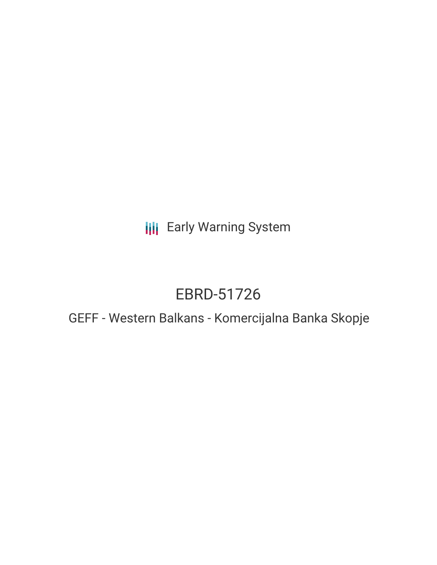**III** Early Warning System

# EBRD-51726

# GEFF - Western Balkans - Komercijalna Banka Skopje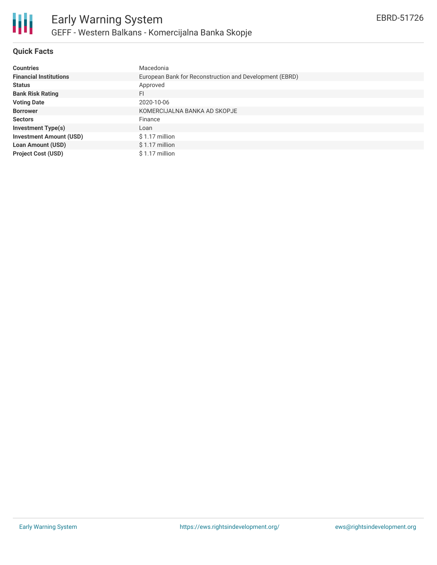

# **Quick Facts**

| <b>Countries</b>               | Macedonia                                               |
|--------------------------------|---------------------------------------------------------|
| <b>Financial Institutions</b>  | European Bank for Reconstruction and Development (EBRD) |
| <b>Status</b>                  | Approved                                                |
| <b>Bank Risk Rating</b>        | FI                                                      |
| <b>Voting Date</b>             | 2020-10-06                                              |
| <b>Borrower</b>                | KOMERCIJALNA BANKA AD SKOPJE                            |
| <b>Sectors</b>                 | Finance                                                 |
| <b>Investment Type(s)</b>      | Loan                                                    |
| <b>Investment Amount (USD)</b> | $$1.17$ million                                         |
| <b>Loan Amount (USD)</b>       | $$1.17$ million                                         |
| <b>Project Cost (USD)</b>      | \$1.17 million                                          |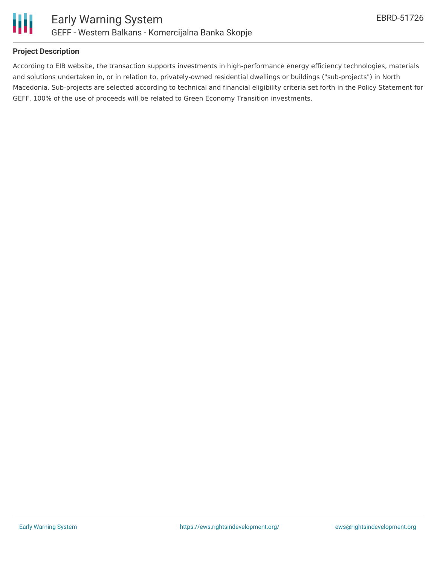

#### **Project Description**

According to EIB website, the transaction supports investments in high-performance energy efficiency technologies, materials and solutions undertaken in, or in relation to, privately-owned residential dwellings or buildings ("sub-projects") in North Macedonia. Sub-projects are selected according to technical and financial eligibility criteria set forth in the Policy Statement for GEFF. 100% of the use of proceeds will be related to Green Economy Transition investments.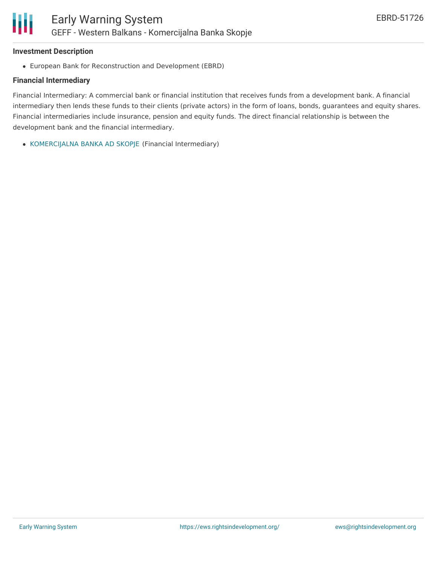#### **Investment Description**

Ш

European Bank for Reconstruction and Development (EBRD)

#### **Financial Intermediary**

Financial Intermediary: A commercial bank or financial institution that receives funds from a development bank. A financial intermediary then lends these funds to their clients (private actors) in the form of loans, bonds, guarantees and equity shares. Financial intermediaries include insurance, pension and equity funds. The direct financial relationship is between the development bank and the financial intermediary.

[KOMERCIJALNA](file:///actor/3616/) BANKA AD SKOPJE (Financial Intermediary)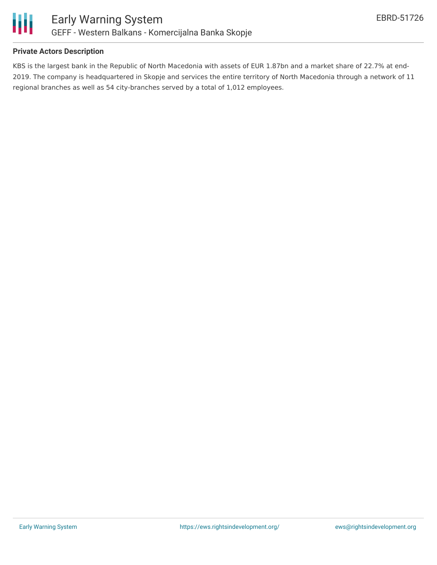

#### **Private Actors Description**

KBS is the largest bank in the Republic of North Macedonia with assets of EUR 1.87bn and a market share of 22.7% at end-2019. The company is headquartered in Skopje and services the entire territory of North Macedonia through a network of 11 regional branches as well as 54 city-branches served by a total of 1,012 employees.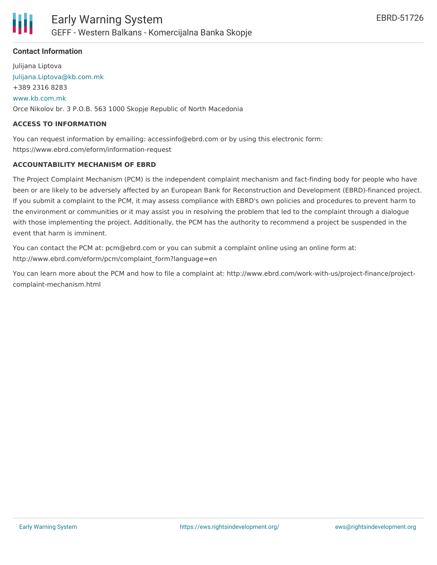

# **Contact Information**

Julijana Liptova [Julijana.Liptova@kb.com.mk](mailto:Julijana.Liptova@kb.com.mk) +389 2316 8283 [www.kb.com.mk](http://www.kb.com.mk) Orce Nikolov br. 3 P.O.B. 563 1000 Skopje Republic of North Macedonia

#### **ACCESS TO INFORMATION**

You can request information by emailing: accessinfo@ebrd.com or by using this electronic form: https://www.ebrd.com/eform/information-request

#### **ACCOUNTABILITY MECHANISM OF EBRD**

The Project Complaint Mechanism (PCM) is the independent complaint mechanism and fact-finding body for people who have been or are likely to be adversely affected by an European Bank for Reconstruction and Development (EBRD)-financed project. If you submit a complaint to the PCM, it may assess compliance with EBRD's own policies and procedures to prevent harm to the environment or communities or it may assist you in resolving the problem that led to the complaint through a dialogue with those implementing the project. Additionally, the PCM has the authority to recommend a project be suspended in the event that harm is imminent.

You can contact the PCM at: pcm@ebrd.com or you can submit a complaint online using an online form at: http://www.ebrd.com/eform/pcm/complaint\_form?language=en

You can learn more about the PCM and how to file a complaint at: http://www.ebrd.com/work-with-us/project-finance/projectcomplaint-mechanism.html